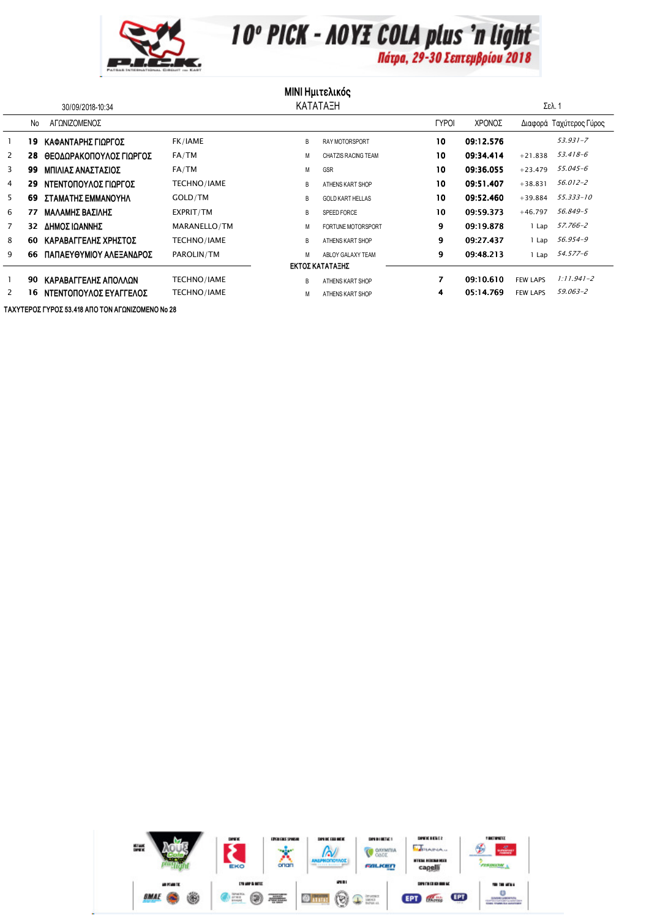

10° PICK - AOYE COLA plus 'n light

**MINI Ημιτελικός** 

| 30/09/2018-10:34      |    |                         | ΚΑΤΑΤΑΞΗ     |   |                            |              |           | Σελ. 1          |                         |
|-----------------------|----|-------------------------|--------------|---|----------------------------|--------------|-----------|-----------------|-------------------------|
|                       | No | ΑΓΟΝΙΖΟΜΕΝΟΣ            |              |   |                            | <b>TYPOI</b> | ΧΡΟΝΟΣ    |                 | Διαφορά Ταχύτερος Γύρος |
|                       | 19 | ΚΑΦΑΝΤΑΡΗΣ ΓΙΩΡΓΟΣ      | FK/IAME      | B | <b>RAY MOTORSPORT</b>      | 10           | 09:12.576 |                 | $53.931 - 7$            |
| $\mathbf{2}^{\prime}$ | 28 | ΘΕΟΔΩΡΑΚΟΠΟΥΛΟΣ ΓΙΩΡΓΟΣ | FA/TM        | М | <b>CHATZIS RACING TEAM</b> | 10           | 09:34.414 | $+21.838$       | 53.418-6                |
| 3                     | 99 | ΜΠΙΛΙΑΣ ΑΝΑΣΤΑΣΙΟΣ      | FA/TM        | M | GSR                        | 10           | 09:36.055 | $+23.479$       | 55.045-6                |
| 4                     | 29 | ΝΤΕΝΤΟΠΟΥΛΟΣ ΓΙΩΡΓΟΣ    | TECHNO/IAME  | B | ATHENS KART SHOP           | 10           | 09:51.407 | $+38.831$       | 56.012-2                |
| 5                     | 69 | ΣΤΑΜΑΤΗΣ ΕΜΜΑΝΟΥΗΛ      | GOLD/TM      | В | <b>GOLD KART HELLAS</b>    | 10           | 09:52.460 | $+39.884$       | 55.333-10               |
| 6                     | 77 | ΜΑΛΑΜΗΣ ΒΑΣΙΛΗΣ         | EXPRIT/TM    | B | SPEED FORCE                | 10           | 09:59.373 | $+46.797$       | 56.849-5                |
|                       | 32 | ΔΗΜΟΣ ΙΩΑΝΝΗΣ           | MARANELLO/TM | М | FORTUNE MOTORSPORT         | 9            | 09:19.878 | 1 Lap           | 57.766-2                |
| 8                     | 60 | ΚΑΡΑΒΑΓΓΕΛΗΣ ΧΡΗΣΤΟΣ    | TECHNO/IAME  | B | ATHENS KART SHOP           | 9            | 09:27.437 | 1 Lap           | 56.954-9                |
| 9                     | 66 | ΠΑΠΑΕΥΘΥΜΙΟΥ ΑΛΕΞΑΝΔΡΟΣ | PAROLIN/TM   | М | ABLOY GALAXY TEAM          | 9            | 09:48.213 | 1 Lap           | 54.577-6                |
| ΕΚΤΟΣ ΚΑΤΑΤΑΞΗΣ       |    |                         |              |   |                            |              |           |                 |                         |
|                       | 90 | ΚΑΡΑΒΑΓΓΕΛΗΣ ΑΠΟΛΛΩΝ    | TECHNO/IAME  | B | ATHENS KART SHOP           | 7            | 09:10.610 | <b>FEW LAPS</b> | $1:11.941 - 2$          |
| $\mathbf{2}^{\prime}$ | 16 | ΝΤΕΝΤΟΠΟΥΛΟΣ ΕΥΑΓΓΕΛΟΣ  | TECHNO/IAME  | М | ATHENS KART SHOP           | 4            | 05:14.769 | <b>FEW LAPS</b> | 59.063-2                |
|                       |    |                         |              |   |                            |              |           |                 |                         |

ΤΑΧΥΤΕΡΟΣ ΓΥΡΟΣ 53.418 ΑΠΟ ΤΟΝ ΑΓΩΝΙΖΟΜΕΝΟ Νο 28